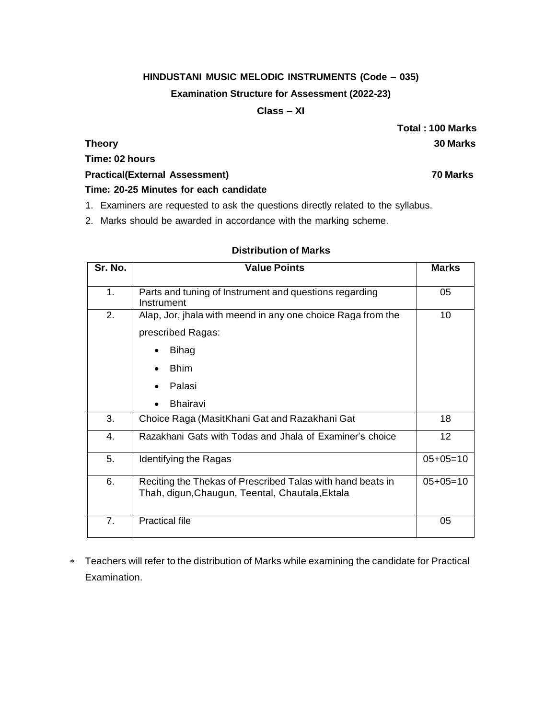### **HINDUSTANI MUSIC MELODIC INSTRUMENTS (Code – 035)**

#### **Examination Structure for Assessment (2022-23)**

### **Class – XI**

**Total : 100 Marks Theory 30 Marks**

# **Time: 02 hours**

#### **Practical(External Assessment) 70 Marks**

### **Time: 20-25 Minutes for each candidate**

- 1. Examiners are requested to ask the questions directly related to the syllabus.
- 2. Marks should be awarded in accordance with the marking scheme.

# **Distribution of Marks**

| Sr. No. | <b>Value Points</b>                                                                                             | <b>Marks</b> |
|---------|-----------------------------------------------------------------------------------------------------------------|--------------|
| 1.      | Parts and tuning of Instrument and questions regarding<br>Instrument                                            | 05           |
| 2.      | Alap, Jor, jhala with meend in any one choice Raga from the<br>prescribed Ragas:<br><b>Bihag</b><br><b>Bhim</b> | 10           |
|         | Palasi<br><b>Bhairavi</b>                                                                                       |              |
| 3.      | Choice Raga (MasitKhani Gat and Razakhani Gat                                                                   | 18           |
| 4.      | Razakhani Gats with Todas and Jhala of Examiner's choice                                                        | 12           |
| 5.      | Identifying the Ragas                                                                                           | $05+05=10$   |
| 6.      | Reciting the Thekas of Prescribed Talas with hand beats in<br>Thah, digun, Chaugun, Teental, Chautala, Ektala   | $05+05=10$   |
| 7.      | <b>Practical file</b>                                                                                           | 05           |

 Teachers will refer to the distribution of Marks while examining the candidate for Practical Examination.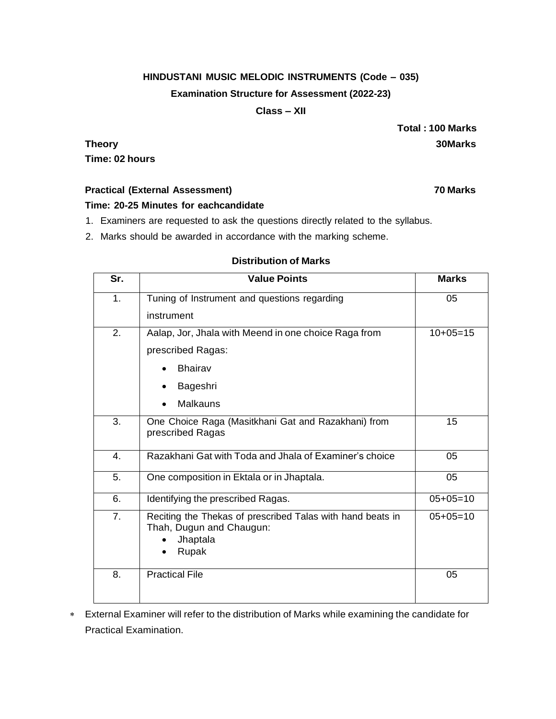### **HINDUSTANI MUSIC MELODIC INSTRUMENTS (Code – 035)**

#### **Examination Structure for Assessment (2022-23)**

### **Class – XII**

**Total : 100 Marks Theory 30Marks**

**Time: 02 hours**

## **Practical (External Assessment) 70 Marks**

**Time: 20-25 Minutes for eachcandidate**

- 1. Examiners are requested to ask the questions directly related to the syllabus.
- 2. Marks should be awarded in accordance with the marking scheme.

### **Distribution of Marks**

| Sr. | <b>Value Points</b>                                                                                         | <b>Marks</b> |
|-----|-------------------------------------------------------------------------------------------------------------|--------------|
| 1.  | Tuning of Instrument and questions regarding                                                                | 05           |
|     | instrument                                                                                                  |              |
| 2.  | Aalap, Jor, Jhala with Meend in one choice Raga from                                                        | $10+05=15$   |
|     | prescribed Ragas:                                                                                           |              |
|     | <b>Bhairav</b>                                                                                              |              |
|     | Bageshri                                                                                                    |              |
|     | Malkauns                                                                                                    |              |
| 3.  | One Choice Raga (Masitkhani Gat and Razakhani) from<br>prescribed Ragas                                     | 15           |
| 4.  | Razakhani Gat with Toda and Jhala of Examiner's choice                                                      | 05           |
| 5.  | One composition in Ektala or in Jhaptala.                                                                   | 05           |
| 6.  | Identifying the prescribed Ragas.                                                                           | $05+05=10$   |
| 7.  | Reciting the Thekas of prescribed Talas with hand beats in<br>Thah, Dugun and Chaugun:<br>Jhaptala<br>Rupak | $05+05=10$   |
| 8.  | <b>Practical File</b>                                                                                       | 05           |

 External Examiner will refer to the distribution of Marks while examining the candidate for Practical Examination.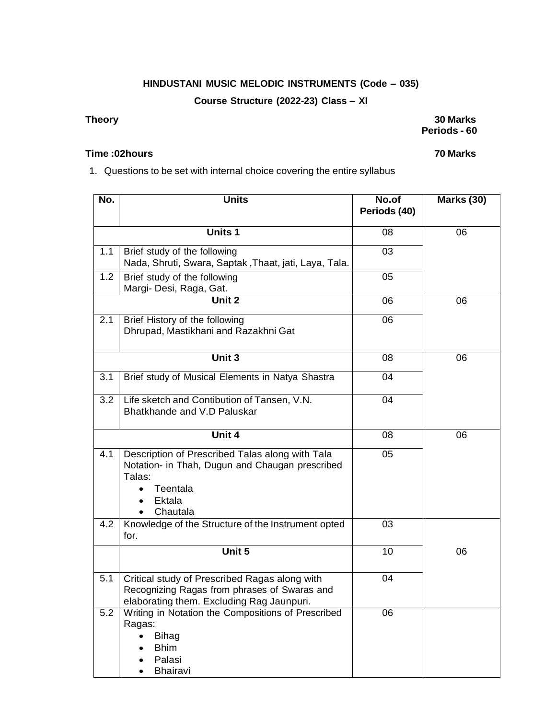# **HINDUSTANI MUSIC MELODIC INSTRUMENTS (Code – 035)**

# **Course Structure (2022-23) Class – XI**

#### **Theory 30 Marks Periods - 60**

#### **Time :02hours 70 Marks**

# 1. Questions to be set with internal choice covering the entire syllabus

| No. | <b>Units</b>                                                                                                                                   | No.of<br>Periods (40) | <b>Marks (30)</b> |
|-----|------------------------------------------------------------------------------------------------------------------------------------------------|-----------------------|-------------------|
|     | <b>Units 1</b>                                                                                                                                 | 08                    | 06                |
| 1.1 | Brief study of the following<br>Nada, Shruti, Swara, Saptak, Thaat, jati, Laya, Tala.                                                          | 03                    |                   |
| 1.2 | Brief study of the following<br>Margi- Desi, Raga, Gat.                                                                                        | 05                    |                   |
|     | Unit 2                                                                                                                                         | 06                    | 06                |
| 2.1 | Brief History of the following<br>Dhrupad, Mastikhani and Razakhni Gat                                                                         | 06                    |                   |
|     | Unit 3                                                                                                                                         | 08                    | 06                |
| 3.1 | Brief study of Musical Elements in Natya Shastra                                                                                               | 04                    |                   |
| 3.2 | Life sketch and Contibution of Tansen, V.N.<br>Bhatkhande and V.D Paluskar                                                                     | 04                    |                   |
|     | Unit 4                                                                                                                                         | 08                    | 06                |
| 4.1 | Description of Prescribed Talas along with Tala<br>Notation- in Thah, Dugun and Chaugan prescribed<br>Talas:<br>Teentala<br>Ektala<br>Chautala | 05                    |                   |
| 4.2 | Knowledge of the Structure of the Instrument opted<br>for.                                                                                     | 03                    |                   |
|     | Unit 5                                                                                                                                         | 10                    | 06                |
| 5.1 | Critical study of Prescribed Ragas along with<br>Recognizing Ragas from phrases of Swaras and<br>elaborating them. Excluding Rag Jaunpuri.     | 04                    |                   |
| 5.2 | Writing in Notation the Compositions of Prescribed<br>Ragas:<br><b>Bihag</b><br><b>Bhim</b><br>Palasi<br>Bhairavi                              | 06                    |                   |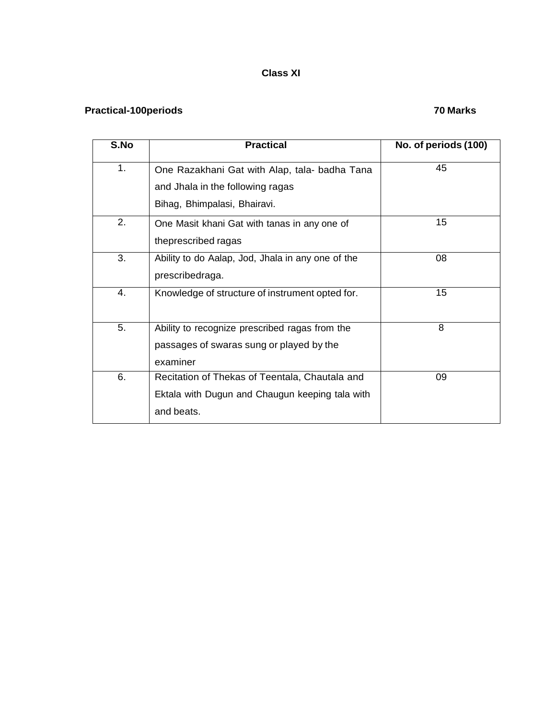# **Class XI**

# **Practical-100periods 70 Marks**

| S.No | <b>Practical</b>                                  | No. of periods (100) |
|------|---------------------------------------------------|----------------------|
| 1.   | One Razakhani Gat with Alap, tala- badha Tana     | 45                   |
|      | and Jhala in the following ragas                  |                      |
|      | Bihag, Bhimpalasi, Bhairavi.                      |                      |
| 2.   | One Masit khani Gat with tanas in any one of      | 15                   |
|      | theprescribed ragas                               |                      |
| 3.   | Ability to do Aalap, Jod, Jhala in any one of the | 08                   |
|      | prescribedraga.                                   |                      |
| 4.   | Knowledge of structure of instrument opted for.   | 15                   |
|      |                                                   |                      |
| 5.   | Ability to recognize prescribed ragas from the    | 8                    |
|      | passages of swaras sung or played by the          |                      |
|      | examiner                                          |                      |
| 6.   | Recitation of Thekas of Teentala, Chautala and    | 09                   |
|      | Ektala with Dugun and Chaugun keeping tala with   |                      |
|      | and beats.                                        |                      |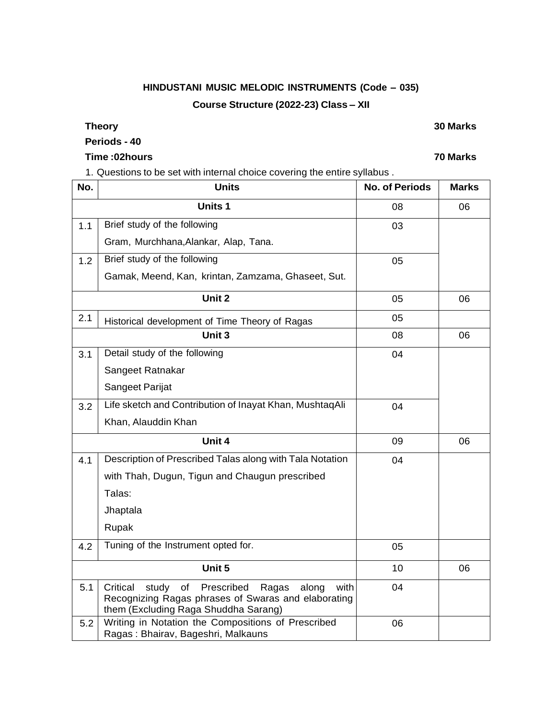# **HINDUSTANI MUSIC MELODIC INSTRUMENTS (Code – 035) Course Structure (2022-23) Class – XII**

#### **Theory 30 Marks**

# **Periods - 40**

# **Time :02hours 70 Marks**

1. Questions to be set with internal choice covering the entire syllabus .

| No. | <b>Units</b>                                                                                                                                                   | <b>No. of Periods</b> | <b>Marks</b> |
|-----|----------------------------------------------------------------------------------------------------------------------------------------------------------------|-----------------------|--------------|
|     | <b>Units1</b>                                                                                                                                                  | 08                    | 06           |
| 1.1 | Brief study of the following                                                                                                                                   | 03                    |              |
|     | Gram, Murchhana, Alankar, Alap, Tana.                                                                                                                          |                       |              |
| 1.2 | Brief study of the following                                                                                                                                   | 05                    |              |
|     | Gamak, Meend, Kan, krintan, Zamzama, Ghaseet, Sut.                                                                                                             |                       |              |
|     | Unit 2                                                                                                                                                         | 05                    | 06           |
| 2.1 | Historical development of Time Theory of Ragas                                                                                                                 | 05                    |              |
|     | Unit 3                                                                                                                                                         | 08                    | 06           |
| 3.1 | Detail study of the following                                                                                                                                  | 04                    |              |
|     | Sangeet Ratnakar                                                                                                                                               |                       |              |
|     | Sangeet Parijat                                                                                                                                                |                       |              |
| 3.2 | Life sketch and Contribution of Inayat Khan, MushtaqAli                                                                                                        | 04                    |              |
|     | Khan, Alauddin Khan                                                                                                                                            |                       |              |
|     | Unit 4                                                                                                                                                         | 09                    | 06           |
| 4.1 | Description of Prescribed Talas along with Tala Notation                                                                                                       | 04                    |              |
|     | with Thah, Dugun, Tigun and Chaugun prescribed                                                                                                                 |                       |              |
|     | Talas:                                                                                                                                                         |                       |              |
|     | Jhaptala                                                                                                                                                       |                       |              |
|     | Rupak                                                                                                                                                          |                       |              |
| 4.2 | Tuning of the Instrument opted for.                                                                                                                            | 05                    |              |
|     | Unit 5                                                                                                                                                         | 10                    | 06           |
| 5.1 | Critical<br>study<br>Prescribed<br>of<br>Ragas<br>along<br>with<br>Recognizing Ragas phrases of Swaras and elaborating<br>them (Excluding Raga Shuddha Sarang) | 04                    |              |
| 5.2 | Writing in Notation the Compositions of Prescribed<br>Ragas: Bhairav, Bageshri, Malkauns                                                                       | 06                    |              |